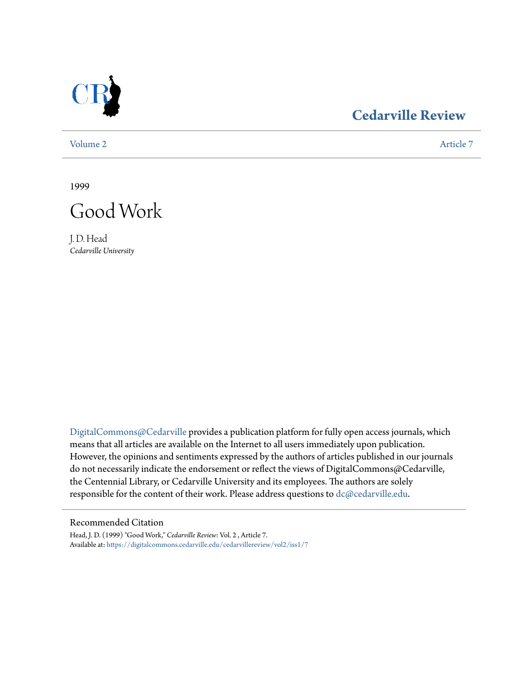

## **[Cedarville Review](https://digitalcommons.cedarville.edu/cedarvillereview?utm_source=digitalcommons.cedarville.edu%2Fcedarvillereview%2Fvol2%2Fiss1%2F7&utm_medium=PDF&utm_campaign=PDFCoverPages)**

[Volume 2](https://digitalcommons.cedarville.edu/cedarvillereview/vol2?utm_source=digitalcommons.cedarville.edu%2Fcedarvillereview%2Fvol2%2Fiss1%2F7&utm_medium=PDF&utm_campaign=PDFCoverPages) [Article 7](https://digitalcommons.cedarville.edu/cedarvillereview/vol2/iss1/7?utm_source=digitalcommons.cedarville.edu%2Fcedarvillereview%2Fvol2%2Fiss1%2F7&utm_medium=PDF&utm_campaign=PDFCoverPages)

1999



J. D. Head *Cedarville University*

[DigitalCommons@Cedarville](http://digitalcommons.cedarville.edu) provides a publication platform for fully open access journals, which means that all articles are available on the Internet to all users immediately upon publication. However, the opinions and sentiments expressed by the authors of articles published in our journals do not necessarily indicate the endorsement or reflect the views of DigitalCommons@Cedarville, the Centennial Library, or Cedarville University and its employees. The authors are solely responsible for the content of their work. Please address questions to [dc@cedarville.edu](mailto:dc@cedarville.edu).

#### Recommended Citation

Head, J. D. (1999) "Good Work," *Cedarville Review*: Vol. 2 , Article 7. Available at: [https://digitalcommons.cedarville.edu/cedarvillereview/vol2/iss1/7](https://digitalcommons.cedarville.edu/cedarvillereview/vol2/iss1/7?utm_source=digitalcommons.cedarville.edu%2Fcedarvillereview%2Fvol2%2Fiss1%2F7&utm_medium=PDF&utm_campaign=PDFCoverPages)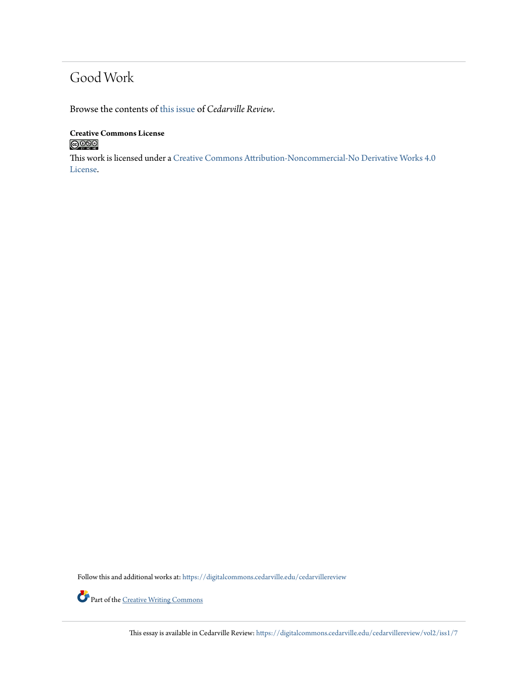# Good Work

Browse the contents of [this issue](https://digitalcommons.cedarville.edu/cedarvillereview/vol2/iss1) of *Cedarville Review*.

**Creative Commons License**  $\bigcirc$  000

This work is licensed under a [Creative Commons Attribution-Noncommercial-No Derivative Works 4.0](http://creativecommons.org/licenses/by-nc-nd/4.0/) [License.](http://creativecommons.org/licenses/by-nc-nd/4.0/)

Follow this and additional works at: [https://digitalcommons.cedarville.edu/cedarvillereview](https://digitalcommons.cedarville.edu/cedarvillereview?utm_source=digitalcommons.cedarville.edu%2Fcedarvillereview%2Fvol2%2Fiss1%2F7&utm_medium=PDF&utm_campaign=PDFCoverPages)



Part of the <u>[Creative Writing Commons](http://network.bepress.com/hgg/discipline/574?utm_source=digitalcommons.cedarville.edu%2Fcedarvillereview%2Fvol2%2Fiss1%2F7&utm_medium=PDF&utm_campaign=PDFCoverPages)</u>

This essay is available in Cedarville Review: [https://digitalcommons.cedarville.edu/cedarvillereview/vol2/iss1/7](https://digitalcommons.cedarville.edu/cedarvillereview/vol2/iss1/7?utm_source=digitalcommons.cedarville.edu%2Fcedarvillereview%2Fvol2%2Fiss1%2F7&utm_medium=PDF&utm_campaign=PDFCoverPages)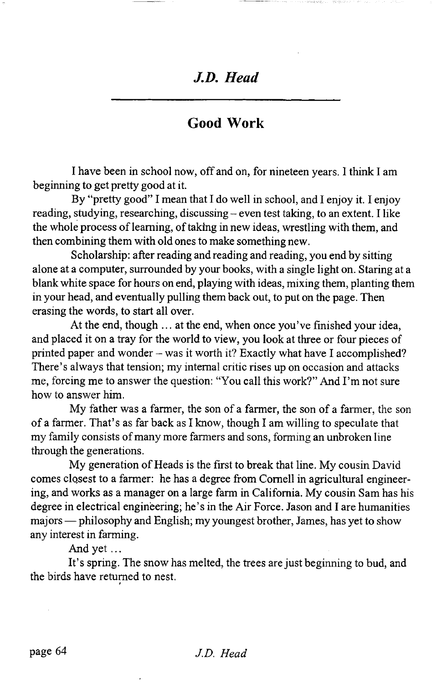### *J.D. Head*

### **Good Work**

I have been in school now, off and on, for nineteen years. I think I am beginning to get pretty good at it.

By "pretty good" I mean that I do well in school, and I enjoy it. I enjoy reading, studying, researching, discussing - even test taking, to an extent. I like the whole process of learning, of taking in new ideas, wrestling with them, and then combining them with old ones to make something new.

Scholarship: after reading and reading and reading, you end by sitting alone at a computer, surrounded by your books, with a single light on. Staring at a blank white space for hours on end, playing with ideas, mixing them, planting them in your head, and eventually pulling them back out, to put on the page. Then erasing the words, to start all over.

At the end, though ... at the end, when once you've finished your idea, and placed it on a tray for the world to view, you look at three or four pieces of printed paper and wonder - was it worth it? Exactly what have I accomplished? There's always that tension; my internal critic rises up on occasion and attacks me, forcing me to answer the question: "You call this work?" And I'm not sure how to answer him.

My father was a farmer, the son of a farmer, the son of a farmer, the son of a farmer. That's as far back as I know, though I am willing to speculate that my family consists of many more farmers and sons, forming an unbroken line through the generations.

My generation of Heads is the first to break that line. My cousin David comes closest to a farmer: he has a degree from Cornell in agricultural engineering, and works as a manager on a large farm in California. My cousin Sam has his degree in electrical engineering; he's in the Air Force. Jason and I are humanities majors — philosophy and English; my youngest brother, James, has yet to show any interest in farming.

And yet  $\dots$ 

It's spring. The snow has melted, the trees are just beginning to bud, and the birds have returned to nest.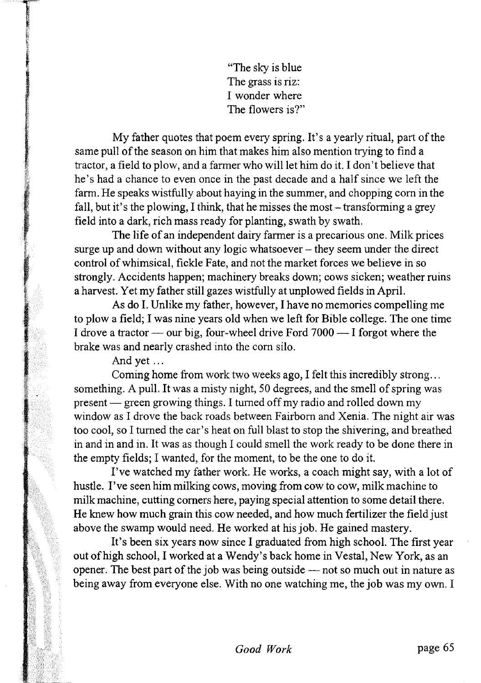"The sky is blue The grass is riz: I wonder where The flowers is?"

My father quotes that poem every spring. It's a yearly ritual, part of the same pull of the season on him that makes him also mention trying to find a tractor, a field to plow, and a farmer who will let him do it. I don't believe that he's had a chance to even once in the past decade and a half since we left the farm. He speaks wistfully about haying in the summer, and chopping com in the fall, but it's the plowing, I think, that he misses the most  $-$  transforming a grey field into a dark, rich mass ready for planting, swath by swath.

The life of an independent dairy farmer is a precarious one. Milk prices surge up and down without any logic whatsoever — they seem under the direct control of whimsical, fickle Fate, and not the market forces we believe in so strongly. Accidents happen; machinery breaks down; cows sicken; weather mins a harvest. Yet my father still gazes wistfully at unplowed fields in April.

As do I. Unlike my father, however, I have no memories compelling me to plow a field; I was nine years old when we left for Bible college. The one time I drove a tractor — our big, four-wheel drive Ford 7000 — I forgot where the brake was and nearly crashed into the com silo.

And yet ...

Coming home from work two weeks ago, I felt this incredibly strong... something. A pull. It was a misty night, 50 degrees, and the smell of spring was present — green growing things. I turned off my radio and rolled down my window as I drove the back roads between Fairborn and Xenia. The night air was too cool, so I turned the car's heat on full blast to stop the shivering, and breathed in and in and in. It was as though I could smell the work ready to be done there in the empty fields; I wanted, for the moment, to be the one to do it.

I've watched my father work. He works, a coach might say, with a lot of hustle. I've seen him milking cows, moving from cow to cow, milk machine to milk machine, cutting comers here, paying special attention to some detail there. He knew how much grain this cow needed, and how much fertilizer the field just above the swamp would need. He worked at his job. He gained mastery.

It's been six years now since I graduated from high school. The first year out of high school, I worked at a Wendy's back home in Vestal, New York, as an opener. The best part of the job was being outside — not so much out in nature as being away from everyone else. With no one watching me, the job was my own. I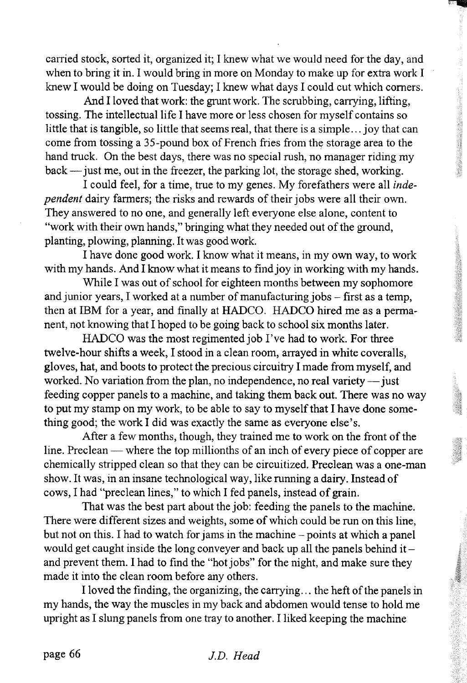carried stock, sorted it, organized it; I knew what we would need for the day, and when to bring it in. I would bring in more on Monday to make up for extra work I knew I would be doing on Tuesday; I knew what days I could cut which comers.

And I loved that work: the grunt work. The scrubbing, carrying, lifting, tossing. The intellectual life I have more or less chosen for myself contains so little that is tangible, so little that seems real, that there is a simple... joy that can come from tossing a 35-pound box of French fries from the storage area to the hand truck. On the best days, there was no special rush, no manager riding my back— just me, out in the freezer, the parking lot, the storage shed, working.

I could feel, for a time, true to my genes. My forefathers were all *independent* dairy farmers; the risks and rewards of their jobs were all their own. They answered to no one, and generally left everyone else alone, content to "work with their own hands," bringing what they needed out of the ground, planting, plowing, planning. It was good work.

I have done good work. I know what it means, in my own way, to work with my hands. And I know what it means to find joy in working with my hands.

While I was out of school for eighteen months between my sophomore and junior years, I worked at a number of manufacturing jobs - first as a temp, then at IBM for a year, and finally at HADCO. HADCO hired me as a permanent, not knowing that I hoped to be going back to school six months later.

HADCO was the most regimented job I've had to work. For three twelve-hour shifts a week, I stood in a clean room, arrayed in white coveralls, gloves, hat, and boots to protect the precious circuitry I made from myself, and worked. No variation from the plan, no independence, no real variety — just feeding copper panels to a machine, and taking them back out. There was no way to put my stamp on my work, to be able to say to myself that I have done something good; the work I did was exactly the same as everyone else's.

After a few months, though, they trained me to work on the front of the line. Preclean — where the top millionths of an inch of every piece of copper are chemically stripped clean so that they can be circuitized. Preclean was a one-man show. It was, in an insane technological way, like running a dairy. Instead of cows, I had "preclean lines," to which I fed panels, instead of grain.

That was the best part about the job: feeding the panels to the machine. There were different sizes and weights, some of which could be run on this line, but not on this. I had to watch for jams in the machine - points at which a panel would get caught inside the long conveyer and back up all the panels behind it  $$ and prevent them. I had to find the "hot jobs" for the night, and make sure they made it into the clean room before any others.

I loved the finding, the organizing, the carrying... the heft of the panels in my hands, the way the muscles in my back and abdomen would tense to hold me upright as I slung panels from one tray to another. I liked keeping the machine